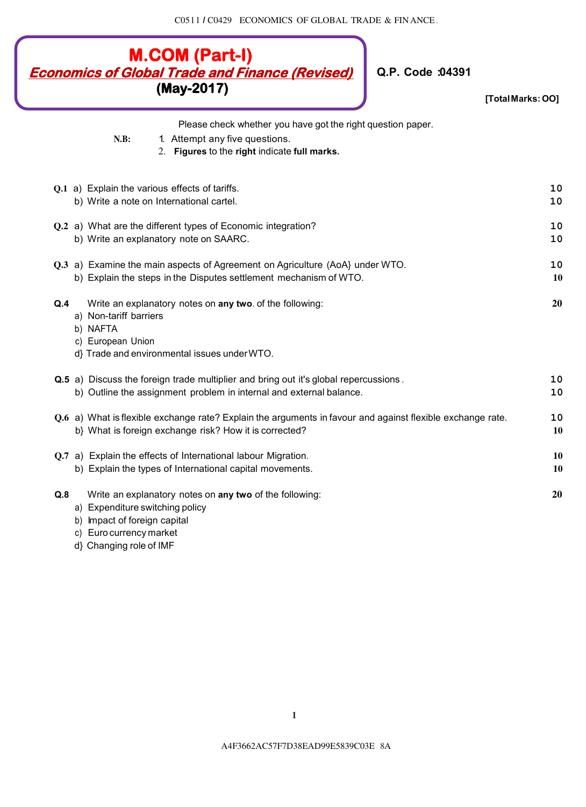C05 l l *I* C0429 ECONOMICS OF GLOBAL TRADE & FIN ANCE .

|          | <b>M.COM (Part-I)</b><br><b>Economics of Global Trade and Finance (Revised)</b><br>Q.P. Code :04391<br>(May-2017) | [Total Marks: OO] |
|----------|-------------------------------------------------------------------------------------------------------------------|-------------------|
|          | Please check whether you have got the right question paper.                                                       |                   |
|          | N.B:<br>1. Attempt any five questions.<br>2. Figures to the right indicate full marks.                            |                   |
|          | Q.1 a) Explain the various effects of tariffs.                                                                    | 10                |
|          | b) Write a note on International cartel.                                                                          | 10                |
|          | Q.2 a) What are the different types of Economic integration?                                                      | 10                |
|          | b) Write an explanatory note on SAARC.                                                                            | 10                |
|          | Q.3 a) Examine the main aspects of Agreement on Agriculture (AoA} under WTO.                                      | 10                |
|          | b) Explain the steps in the Disputes settlement mechanism of WTO.                                                 | 10                |
| Q.4      | Write an explanatory notes on any two. of the following:                                                          | 20                |
|          | a) Non-tariff barriers                                                                                            |                   |
| b) NAFTA | c) European Union                                                                                                 |                   |
|          | d} Trade and environmental issues under WTO.                                                                      |                   |
|          | Q.5 a) Discuss the foreign trade multiplier and bring out it's global repercussions.                              | 10                |
|          | b) Outline the assignment problem in internal and external balance.                                               | 10                |
|          | Q.6 a) What is flexible exchange rate? Explain the arguments in favour and against flexible exchange rate.        | 10                |
|          | b} What is foreign exchange risk? How it is corrected?                                                            | 10                |
|          | Q.7 a) Explain the effects of International labour Migration.                                                     | 10                |
|          | b) Explain the types of International capital movements.                                                          | 10                |
| Q.8      | Write an explanatory notes on any two of the following:                                                           | 20                |
|          | a) Expenditure switching policy                                                                                   |                   |

- b) Impact of foreign capital
- c) Euro currency market
- d} Changing role of IMF